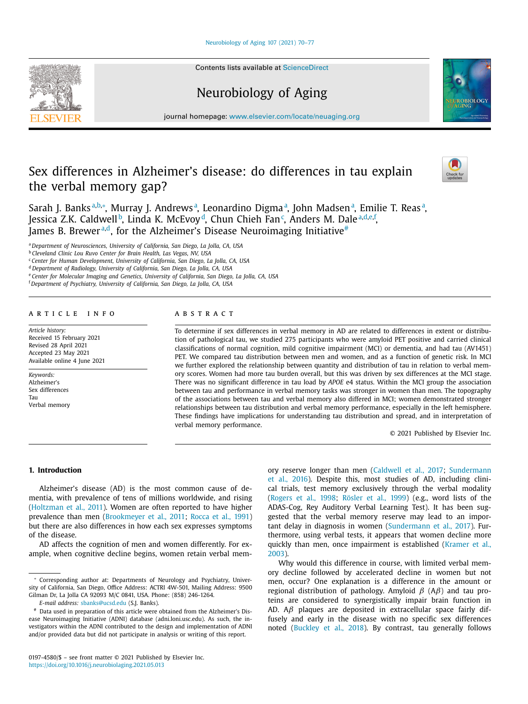# [Neurobiology](https://doi.org/10.1016/j.neurobiolaging.2021.05.013) of Aging 107 (2021) 70–77

Contents lists available at [ScienceDirect](http://www.ScienceDirect.com)

# Neurobiology of Aging

journal homepage: [www.elsevier.com/locate/neuaging.org](http://www.elsevier.com/locate/neuaging.org)

# Sex differences in Alzheimer's disease: do differences in tau explain the verbal memory gap?



Sarah J. Banksª<sup>,b,</sup>\*, Murray J. Andrewsª, Leonardino Digmaª, John Madsenª, Emilie T. Reasª, Jessica Z.K. Caldwell<sup>b</sup>, Linda K. McEvoy<sup>d</sup>, Chun Chieh Fan<sup>c</sup>, Anders M. Dale<sup>a,d,e,f</sup>, James B. Brewer<sup>a,d</sup>, for the Alzheimer's Disease Neuroimaging Initiative<sup>#</sup>

<sup>a</sup> *Department of Neurosciences, University of California, San Diego, La Jolla, CA, USA*

<sup>b</sup> *Cleveland Clinic Lou Ruvo Center for Brain Health, Las Vegas, NV, USA*

<sup>c</sup> *Center for Human Development, University of California, San Diego, La Jolla, CA, USA*

<sup>d</sup> *Department of Radiology, University of California, San Diego, La Jolla, CA, USA*

<sup>e</sup> *Center for Molecular Imaging and Genetics, University of California, San Diego, La Jolla, CA, USA*

<sup>f</sup> *Department of Psychiatry, University of California, San Diego, La Jolla, CA, USA*

# a r t i c l e i n f o

*Article history:* Received 15 February 2021 Revised 28 April 2021 Accepted 23 May 2021 Available online 4 June 2021

*Keywords:* Alzheimer's Sex differences Tau Verbal memory

#### A B S T R A C T

To determine if sex differences in verbal memory in AD are related to differences in extent or distribution of pathological tau, we studied 275 participants who were amyloid PET positive and carried clinical classifications of normal cognition, mild cognitive impairment (MCI) or dementia, and had tau (AV1451) PET. We compared tau distribution between men and women, and as a function of genetic risk. In MCI we further explored the relationship between quantity and distribution of tau in relation to verbal memory scores. Women had more tau burden overall, but this was driven by sex differences at the MCI stage. There was no significant difference in tau load by *APOE* e4 status. Within the MCI group the association between tau and performance in verbal memory tasks was stronger in women than men. The topography of the associations between tau and verbal memory also differed in MCI; women demonstrated stronger relationships between tau distribution and verbal memory performance, especially in the left hemisphere. These findings have implications for understanding tau distribution and spread, and in interpretation of verbal memory performance.

© 2021 Published by Elsevier Inc.

# **1. Introduction**

Alzheimer's disease (AD) is the most common cause of dementia, with prevalence of tens of millions worldwide, and rising [\(Holtzman](#page-7-0) et al., 2011). Women are often reported to have higher prevalence than men [\(Brookmeyer](#page-6-0) et al., 2011; [Rocca](#page-7-0) et al., 1991) but there are also differences in how each sex expresses symptoms of the disease.

AD affects the cognition of men and women differently. For example, when cognitive decline begins, women retain verbal mem-

*E-mail address:* [sbanks@ucsd.edu](mailto:sbanks@ucsd.edu) (S.J. Banks).

ory reserve longer than men [\(Caldwell](#page-6-0) et al., 2017; [Sundermann](#page-7-0) et al., 2016). Despite this, most studies of AD, including clinical trials, test memory exclusively through the verbal modality [\(Rogers](#page-7-0) et al., 1998; [Rösler](#page-7-0) et al., 1999) (e.g., word lists of the ADAS-Cog, Rey Auditory Verbal Learning Test). It has been suggested that the verbal memory reserve may lead to an important delay in diagnosis in women [\(Sundermann](#page-7-0) et al., 2017). Furthermore, using verbal tests, it appears that women decline more quickly than men, once [impairment](#page-7-0) is established (Kramer et al., 2003).

Why would this difference in course, with limited verbal memory decline followed by accelerated decline in women but not men, occur? One explanation is a difference in the amount or regional distribution of pathology. Amyloid  $β$  (A $β$ ) and tau proteins are considered to synergistically impair brain function in AD.  $A\beta$  plaques are deposited in extracellular space fairly diffusely and early in the disease with no specific sex differences noted [\(Buckley](#page-6-0) et al., 2018). By contrast, tau generally follows

<sup>∗</sup> Corresponding author at: Departments of Neurology and Psychiatry, University of California, San Diego, Office Address: ACTRI 4W-501, Mailing Address: 9500 Gilman Dr, La Jolla CA 92093 M/C 0841, USA. Phone: (858) 246-1264.

<sup>#</sup> Data used in preparation of this article were obtained from the Alzheimer's Disease Neuroimaging Initiative (ADNI) database (adni.loni.usc.edu). As such, the investigators within the ADNI contributed to the design and implementation of ADNI and/or provided data but did not participate in analysis or writing of this report.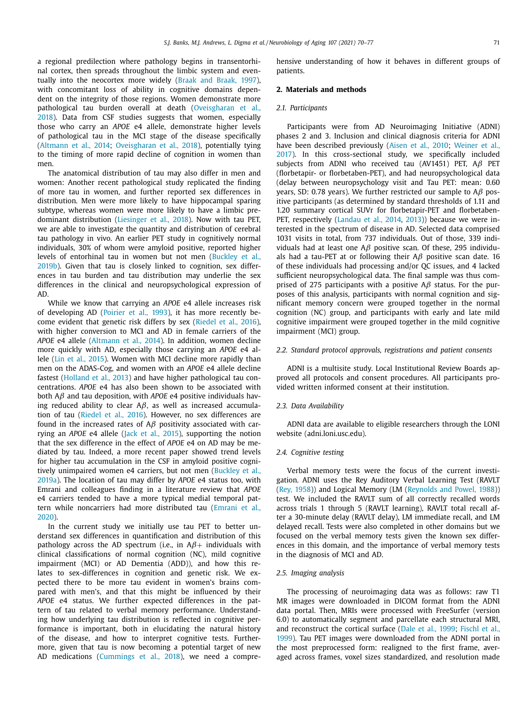a regional predilection where pathology begins in transentorhinal cortex, then spreads throughout the limbic system and eventually into the neocortex more widely (Braak and [Braak,](#page-6-0) 1997), with concomitant loss of ability in cognitive domains dependent on the integrity of those regions. Women demonstrate more pathological tau burden overall at death [\(Oveisgharan](#page-7-0) et al., 2018). Data from CSF studies suggests that women, especially those who carry an *APOE* e4 allele, demonstrate higher levels of pathological tau in the MCI stage of the disease specifically [\(Altmann](#page-6-0) et al., 2014; [Oveisgharan](#page-7-0) et al., 2018), potentially tying to the timing of more rapid decline of cognition in women than men.

The anatomical distribution of tau may also differ in men and women: Another recent pathological study replicated the finding of more tau in women, and further reported sex differences in distribution. Men were more likely to have hippocampal sparing subtype, whereas women were more likely to have a limbic predominant distribution [\(Liesinger](#page-7-0) et al., 2018). Now with tau PET, we are able to investigate the quantity and distribution of cerebral tau pathology in vivo. An earlier PET study in cognitively normal individuals, 30% of whom were amyloid positive, reported higher levels of [entorhinal](#page-6-0) tau in women but not men (Buckley et al., 2019b). Given that tau is closely linked to cognition, sex differences in tau burden and tau distribution may underlie the sex differences in the clinical and neuropsychological expression of AD.

While we know that carrying an *APOE* e4 allele increases risk of developing AD [\(Poirier](#page-7-0) et al., 1993), it has more recently become evident that genetic risk differs by sex [\(Riedel](#page-7-0) et al., 2016), with higher conversion to MCI and AD in female carriers of the *APOE* e4 allele [\(Altmann](#page-6-0) et al., 2014). In addition, women decline more quickly with AD, especially those carrying an *APOE* e4 allele (Lin et al., [2015\)](#page-7-0). Women with MCI decline more rapidly than men on the ADAS-Cog, and women with an *APOE* e4 allele decline fastest [\(Holland](#page-7-0) et al., 2013) and have higher pathological tau concentrations. *APOE* e4 has also been shown to be associated with both Aβ and tau deposition, with *APOE* e4 positive individuals having reduced ability to clear  $A\beta$ , as well as increased accumulation of tau [\(Riedel](#page-7-0) et al., 2016). However, no sex differences are found in the increased rates of  $A\beta$  positivity associated with carrying an *APOE* e4 allele (Jack et al., [2015\)](#page-7-0), supporting the notion that the sex difference in the effect of *APOE* e4 on AD may be mediated by tau. Indeed, a more recent paper showed trend levels for higher tau accumulation in the CSF in amyloid positive cognitively [unimpaired](#page-6-0) women e4 carriers, but not men (Buckley et al., 2019a). The location of tau may differ by *APOE* e4 status too, with Emrani and colleagues finding in a literature review that *APOE* e4 carriers tended to have a more typical medial temporal pattern while [noncarriers](#page-7-0) had more distributed tau (Emrani et al., 2020).

In the current study we initially use tau PET to better understand sex differences in quantification and distribution of this pathology across the AD spectrum (i.e., in  $A\beta$ + individuals with clinical classifications of normal cognition (NC), mild cognitive impairment (MCI) or AD Dementia (ADD)), and how this relates to sex-differences in cognition and genetic risk. We expected there to be more tau evident in women's brains compared with men's, and that this might be influenced by their *APOE* e4 status. We further expected differences in the pattern of tau related to verbal memory performance. Understanding how underlying tau distribution is reflected in cognitive performance is important, both in elucidating the natural history of the disease, and how to interpret cognitive tests. Furthermore, given that tau is now becoming a potential target of new AD medications [\(Cummings](#page-6-0) et al., 2018), we need a comprehensive understanding of how it behaves in different groups of patients.

# **2. Materials and methods**

### *2.1. Participants*

Participants were from AD Neuroimaging Initiative (ADNI) phases 2 and 3. Inclusion and clinical diagnosis criteria for ADNI have been described previously [\(Aisen](#page-6-0) et al., 2010; Weiner et al., 2017). In this [cross-sectional](#page-7-0) study, we specifically included subjects from ADNI who received tau (AV1451) PET, Aβ PET (florbetapir- or florbetaben-PET), and had neuropsychological data (delay between neuropsychology visit and Tau PET: mean: 0.60 years, SD: 0.78 years). We further restricted our sample to  $A\beta$  positive participants (as determined by standard thresholds of 1.11 and 1.20 summary cortical SUVr for florbetapir-PET and florbetaben-PET, respectively [\(Landau](#page-7-0) et al., 2014, [2013\)](#page-7-0)) because we were interested in the spectrum of disease in AD. Selected data comprised 1031 visits in total, from 737 individuals. Out of those, 339 individuals had at least one  $A\beta$  positive scan. Of these, 295 individuals had a tau-PET at or following their  $A\beta$  positive scan date. 16 of these individuals had processing and/or QC issues, and 4 lacked sufficient neuropsychological data. The final sample was thus comprised of 275 participants with a positive  $A\beta$  status. For the purposes of this analysis, participants with normal cognition and significant memory concern were grouped together in the normal cognition (NC) group, and participants with early and late mild cognitive impairment were grouped together in the mild cognitive impairment (MCI) group.

## *2.2. Standard protocol approvals, registrations and patient consents*

ADNI is a multisite study. Local Institutional Review Boards approved all protocols and consent procedures. All participants provided written informed consent at their institution.

#### *2.3. Data Availability*

ADNI data are available to eligible researchers through the LONI website (adni.loni.usc.edu).

#### *2.4. Cognitive testing*

Verbal memory tests were the focus of the current investigation. ADNI uses the Rey Auditory Verbal Learning Test (RAVLT (Rey, [1958\)](#page-7-0)) and Logical Memory (LM [\(Reynolds](#page-7-0) and Powel, 1988)) test. We included the RAVLT sum of all correctly recalled words across trials 1 through 5 (RAVLT learning), RAVLT total recall after a 30-minute delay (RAVLT delay), LM immediate recall, and LM delayed recall. Tests were also completed in other domains but we focused on the verbal memory tests given the known sex differences in this domain, and the importance of verbal memory tests in the diagnosis of MCI and AD.

#### *2.5. Imaging analysis*

The processing of neuroimaging data was as follows: raw T1 MR images were downloaded in DICOM format from the ADNI data portal. Then, MRIs were processed with FreeSurfer (version 6.0) to automatically segment and parcellate each structural MRI, and reconstruct the cortical surface (Dale et al., [1999;](#page-6-0) Fischl et al., 1999). Tau PET images were [downloaded](#page-7-0) from the ADNI portal in the most preprocessed form: realigned to the first frame, averaged across frames, voxel sizes standardized, and resolution made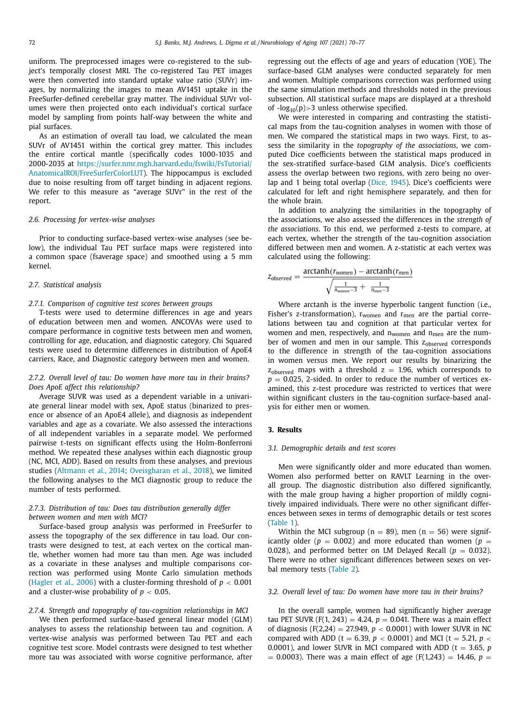uniform. The preprocessed images were co-registered to the subject's temporally closest MRI. The co-registered Tau PET images were then converted into standard uptake value ratio (SUVr) images, by normalizing the images to mean AV1451 uptake in the FreeSurfer-defined cerebellar gray matter. The individual SUVr volumes were then projected onto each individual's cortical surface model by sampling from points half-way between the white and pial surfaces.

As an estimation of overall tau load, we calculated the mean SUVr of AV1451 within the cortical grey matter. This includes the entire cortical mantle (specifically codes 1000-1035 and 2000-2035 at [https://surfer.nmr.mgh.harvard.edu/fswiki/FsTutorial/](https://surfer.nmr.mgh.harvard.edu/fswiki/FsTutorial/AnatomicalROI/FreeSurferColorLUT) AnatomicalROI/FreeSurferColorLUT). The hippocampus is excluded due to noise resulting from off target binding in adjacent regions. We refer to this measure as "average SUVr" in the rest of the report.

## *2.6. Processing for vertex-wise analyses*

Prior to conducting surface-based vertex-wise analyses (see below), the individual Tau PET surface maps were registered into a common space (fsaverage space) and smoothed using a 5 mm kernel.

## *2.7. Statistical analysis*

## *2.7.1. Comparison of cognitive test scores between groups*

T-tests were used to determine differences in age and years of education between men and women. ANCOVAs were used to compare performance in cognitive tests between men and women, controlling for age, education, and diagnostic category. Chi Squared tests were used to determine differences in distribution of ApoE4 carriers, Race, and Diagnostic category between men and women.

# *2.7.2. Overall level of tau: Do women have more tau in their brains? Does ApoE affect this relationship?*

Average SUVR was used as a dependent variable in a univariate general linear model with sex, ApoE status (binarized to presence or absence of an ApoE4 allele), and diagnosis as independent variables and age as a covariate. We also assessed the interactions of all independent variables in a separate model. We performed pairwise t-tests on significant effects using the Holm-Bonferroni method. We repeated these analyses within each diagnostic group (NC, MCI, ADD). Based on results from these analyses, and previous studies [\(Altmann](#page-6-0) et al., 2014; [Oveisgharan](#page-7-0) et al., 2018), we limited the following analyses to the MCI diagnostic group to reduce the number of tests performed.

# *2.7.3. Distribution of tau: Does tau distribution generally differ between women and men with MCI?*

Surface-based group analysis was performed in FreeSurfer to assess the topography of the sex difference in tau load. Our contrasts were designed to test, at each vertex on the cortical mantle, whether women had more tau than men. Age was included as a covariate in these analyses and multiple comparisons correction was performed using Monte Carlo simulation methods [\(Hagler](#page-7-0) et al., 2006) with a cluster-forming threshold of  $p < 0.001$ and a cluster-wise probability of  $p < 0.05$ .

# *2.7.4. Strength and topography of tau-cognition relationships in MCI*

We then performed surface-based general linear model (GLM) analyses to assess the relationship between tau and cognition. A vertex-wise analysis was performed between Tau PET and each cognitive test score. Model contrasts were designed to test whether more tau was associated with worse cognitive performance, after regressing out the effects of age and years of education (YOE). The surface-based GLM analyses were conducted separately for men and women. Multiple comparisons correction was performed using the same simulation methods and thresholds noted in the previous subsection. All statistical surface maps are displayed at a threshold of  $-log_{10}(p)$  > 3 unless otherwise specified.

We were interested in comparing and contrasting the statistical maps from the tau-cognition analyses in women with those of men. We compared the statistical maps in two ways. First, to assess the similarity in the *topography of the associations*, we computed Dice coefficients between the statistical maps produced in the sex-stratified surface-based GLM analysis. Dice's coefficients assess the overlap between two regions, with zero being no overlap and 1 being total overlap (Dice, [1945\)](#page-6-0). Dice's coefficients were calculated for left and right hemisphere separately, and then for the whole brain.

In addition to analyzing the similarities in the topography of the associations, we also assessed the differences in the *strength of the associations*. To this end, we performed z-tests to compare, at each vertex, whether the strength of the tau-cognition association differed between men and women. A z-statistic at each vertex was calculated using the following:

$$
z_{observed} = \frac{\arctanh(r_{women}) - \arctanh(r_{men})}{\sqrt{\frac{1}{n_{women}-3} + \frac{1}{n_{men}-3}}}
$$

Where arctanh is the inverse hyperbolic tangent function (i.e., Fisher's z-transformation),  $r_{\text{women}}$  and  $r_{\text{men}}$  are the partial correlations between tau and cognition at that particular vertex for women and men, respectively, and  $n_{\text{women}}$  and  $n_{\text{men}}$  are the number of women and men in our sample. This  $z<sub>observed</sub>$  corresponds to the difference in strength of the tau-cognition associations in women versus men. We report our results by binarizing the  $z<sub>observed</sub>$  maps with a threshold  $z = 1.96$ , which corresponds to  $p = 0.025$ , 2-sided. In order to reduce the number of vertices examined, this z-test procedure was restricted to vertices that were within significant clusters in the tau-cognition surface-based analysis for either men or women.

# **3. Results**

## *3.1. Demographic details and test scores*

Men were significantly older and more educated than women. Women also performed better on RAVLT Learning in the overall group. The diagnostic distribution also differed significantly, with the male group having a higher proportion of mildly cognitively impaired individuals. There were no other significant differences between sexes in terms of demographic details or test scores [\(Table](#page-3-0) 1).

Within the MCI subgroup ( $n = 89$ ), men ( $n = 56$ ) were significantly older ( $p = 0.002$ ) and more educated than women ( $p =$ 0.028), and performed better on LM Delayed Recall ( $p = 0.032$ ). There were no other significant differences between sexes on verbal memory tests [\(Table](#page-3-0) 2).

# *3.2. Overall level of tau: Do women have more tau in their brains?*

In the overall sample, women had significantly higher average tau PET SUVR (F(1, 243) = 4.24,  $p = 0.041$ . There was a main effect of diagnosis (F(2,24) = 27.949,  $p < 0.0001$ ) with lower SUVR in NC compared with ADD (t = 6.39,  $p < 0.0001$ ) and MCI (t = 5.21,  $p <$ 0.0001), and lower SUVR in MCI compared with ADD ( $t = 3.65$ ,  $p$ )  $= 0.0003$ ). There was a main effect of age (F(1,243) = 14.46, *p* =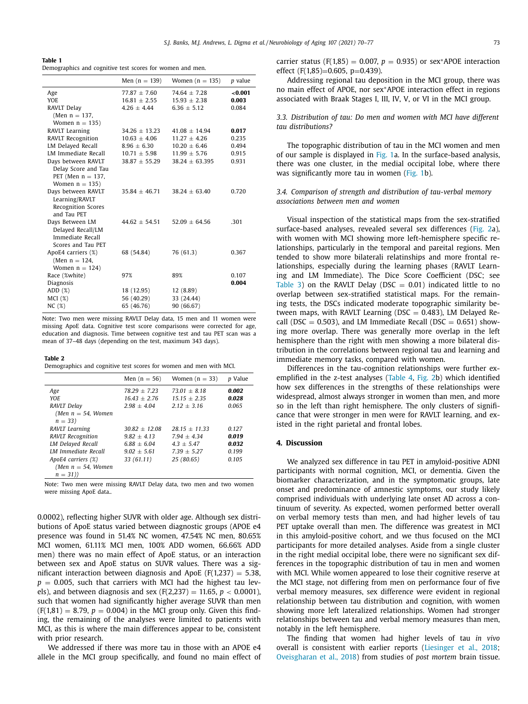<span id="page-3-0"></span>

| ш<br>. . |  |  |  |
|----------|--|--|--|
|----------|--|--|--|

Demographics and cognitive test scores for women and men.

|                           | Men $(n = 139)$   | Women $(n = 135)$  | p value |
|---------------------------|-------------------|--------------------|---------|
| Age                       | $77.87 + 7.60$    | $74.64 + 7.28$     | < 0.001 |
| YOE.                      | $16.81 \pm 2.55$  | $15.93 \pm 2.38$   | 0.003   |
| RAVLT Delay               | $4.26 \pm 4.44$   | $6.36 \pm 5.12$    | 0.084   |
| (Men $n = 137$ ,          |                   |                    |         |
| Women $n = 135$ )         |                   |                    |         |
| RAVLT Learning            | $34.26 + 13.23$   | $41.08 + 14.94$    | 0.017   |
| RAVLT Recognition         | $10.63 \pm 4.06$  | $11.27 + 4.26$     | 0.235   |
| LM Delayed Recall         | $8.96 \pm 6.30$   | $10.20 \pm 6.46$   | 0.494   |
| LM Immediate Recall       | $10.71 \pm 5.98$  | $11.99 \pm 5.76$   | 0.915   |
| Days between RAVLT        | $38.87 \pm 55.29$ | $38.24 \pm 63.395$ | 0.931   |
| Delay Score and Tau       |                   |                    |         |
| PET (Men $n = 137$ ,      |                   |                    |         |
| Women $n = 135$ )         |                   |                    |         |
| Days between RAVLT        | $35.84 \pm 46.71$ | $38.24 + 63.40$    | 0.720   |
| Learning/RAVLT            |                   |                    |         |
| <b>Recognition Scores</b> |                   |                    |         |
| and Tau PET               |                   |                    |         |
| Days Between LM           | $44.62 \pm 54.51$ | $52.09 \pm 64.56$  | .301    |
| Delayed Recall/LM         |                   |                    |         |
| Immediate Recall          |                   |                    |         |
| Scores and Tau PET        |                   |                    |         |
| ApoE4 carriers (%)        | 68 (54.84)        | 76 (61.3)          | 0.367   |
| (Men $n = 124$ ,          |                   |                    |         |
| Women $n = 124$           |                   |                    |         |
| Race (%white)             | 97%               | 89%                | 0.107   |
| Diagnosis                 |                   |                    | 0.004   |
| ADD(%)                    | 18 (12.95)        | 12 (8.89)          |         |
| MCI(%)                    | 56 (40.29)        | 33 (24.44)         |         |
| NC(%)                     | 65 (46.76)        | 90 (66.67)         |         |

Note: Two men were missing RAVLT Delay data, 15 men and 11 women were missing ApoE data. Cognitive test score comparisons were corrected for age, education and diagnosis. Time between cognitive test and tau PET scan was a mean of 37–48 days (depending on the test, maximum 343 days).

#### **Table 2**

Demographics and cognitive test scores for women and men with MCI.

|                            | Men $(n = 56)$  | Women $(n = 33)$ | <i>p</i> Value |
|----------------------------|-----------------|------------------|----------------|
| Age                        | $78.29 + 7.23$  | $73.01 + 8.18$   | 0.002          |
| YOE                        | $16.43 + 2.76$  | $15.15 + 2.35$   | 0.028          |
| RAVLT Delay                | $2.98 + 4.04$   | $2.12 + 3.16$    | 0.065          |
| (Men $n = 54$ , Women      |                 |                  |                |
| $n = 33$                   |                 |                  |                |
| <b>RAVLT</b> Learning      | $30.82 + 12.08$ | $28.15 + 11.33$  | 0.127          |
| <b>RAVLT</b> Recognition   | $9.82 + 4.13$   | $7.94 + 4.34$    | 0.019          |
| <b>LM Delayed Recall</b>   | $6.88 + 6.04$   | $4.3 + 5.47$     | 0.032          |
| <b>IM Immediate Recall</b> | $9.02 + 5.61$   | $7.39 + 5.27$    | 0.199          |
| ApoE4 carriers (%)         | 33(61.11)       | 25 (80.65)       | 0.105          |
| (Men $n = 54$ , Women      |                 |                  |                |
| $n = 31)$                  |                 |                  |                |

Note: Two men were missing RAVLT Delay data, two men and two women were missing ApoE data..

0.0002), reflecting higher SUVR with older age. Although sex distributions of ApoE status varied between diagnostic groups (APOE e4 presence was found in 51.4% NC women, 47.54% NC men, 80.65% MCI women, 61.11% MCI men, 100% ADD women, 66.66% ADD men) there was no main effect of ApoE status, or an interaction between sex and ApoE status on SUVR values. There was a significant interaction between diagnosis and ApoE ( $F(1,237) = 5.38$ ,  $p = 0.005$ , such that carriers with MCI had the highest tau levels), and between diagnosis and sex (F(2,237) = 11.65,  $p < 0.0001$ ), such that women had significantly higher average SUVR than men  $(F(1,81) = 8.79, p = 0.004)$  in the MCI group only. Given this finding, the remaining of the analyses were limited to patients with MCI, as this is where the main differences appear to be, consistent with prior research.

We addressed if there was more tau in those with an APOE e4 allele in the MCI group specifically, and found no main effect of

Addressing regional tau deposition in the MCI group, there was no main effect of APOE, nor sex∗APOE interaction effect in regions associated with Braak Stages I, III, IV, V, or VI in the MCI group.

# *3.3. Distribution of tau: Do men and women with MCI have different tau distributions?*

The topographic distribution of tau in the MCI women and men of our sample is displayed in [Fig.](#page-4-0) 1a. In the surface-based analysis, there was one cluster, in the medial occipital lobe, where there was significantly more tau in women [\(Fig.](#page-4-0) 1b).

# *3.4. Comparison of strength and distribution of tau-verbal memory associations between men and women*

Visual inspection of the statistical maps from the sex-stratified surface-based analyses, revealed several sex differences [\(Fig.](#page-4-0) 2a), with women with MCI showing more left-hemisphere specific relationships, particularly in the temporal and pareital regions. Men tended to show more bilaterali relatinships and more frontal relationships, especially during the learning phases (RAVLT Learning and LM Immediate). The Dice Score Coefficient (DSC; see [Table](#page-5-0) 3) on the RAVLT Delay (DSC =  $0.01$ ) indicated little to no overlap between sex-stratified statistical maps. For the remaining tests, the DSCs indicated moderate topographic similarity between maps, with RAVLT Learning (DSC =  $0.483$ ), LM Delayed Recall (DSC = 0.503), and LM Immediate Recall (DSC = 0.651) showing more overlap. There was generally more overlap in the left hemisphere than the right with men showing a more bilateral distribution in the correlations between regional tau and learning and immediate memory tasks, compared with women.

Differences in the tau-cognition relationships were further exemplified in the z-test analyses [\(Table](#page-5-0) 4, [Fig.](#page-4-0) 2b) which identified how sex differences in the strengths of these relationships were widespread, almost always stronger in women than men, and more so in the left than right hemisphere. The only clusters of significance that were stronger in men were for RAVLT learning, and existed in the right parietal and frontal lobes.

# **4. Discussion**

We analyzed sex difference in tau PET in amyloid-positive ADNI participants with normal cognition, MCI, or dementia. Given the biomarker characterization, and in the symptomatic groups, late onset and predominance of amnestic symptoms, our study likely comprised individuals with underlying late onset AD across a continuum of severity. As expected, women performed better overall on verbal memory tests than men, and had higher levels of tau PET uptake overall than men. The difference was greatest in MCI in this amyloid-positive cohort, and we thus focused on the MCI participants for more detailed analyses. Aside from a single cluster in the right medial occipital lobe, there were no significant sex differences in the topographic distribution of tau in men and women with MCI. While women appeared to lose their cognitive reserve at the MCI stage, not differing from men on performance four of five verbal memory measures, sex difference were evident in regional relationship between tau distribution and cognition, with women showing more left lateralized relationships. Women had stronger relationships between tau and verbal memory measures than men, notably in the left hemisphere.

The finding that women had higher levels of tau *in vivo* overall is consistent with earlier reports [\(Liesinger](#page-7-0) et al., 2018; [Oveisgharan](#page-7-0) et al., 2018) from studies of *post mortem* brain tissue.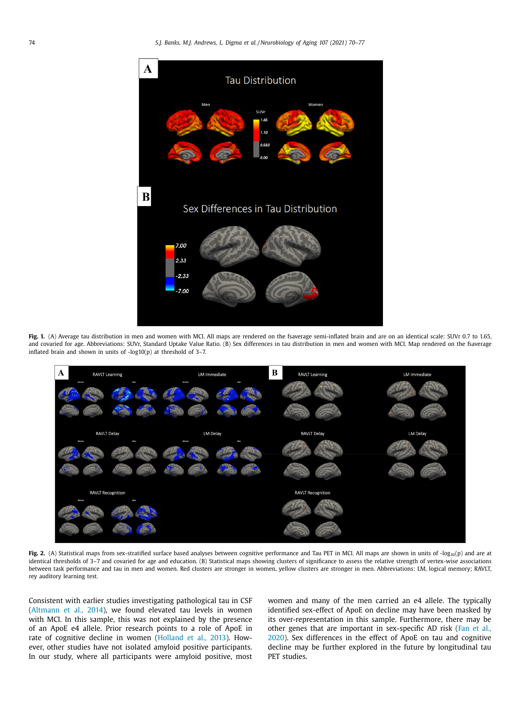<span id="page-4-0"></span>

Fig. 1. (A) Average tau distribution in men and women with MCI. All maps are rendered on the fsaverage semi-inflated brain and are on an identical scale: SUVr 0.7 to 1.65, and covaried for age. Abbreviations: SUVr, Standard Uptake Value Ratio. (B) Sex differences in tau distribution in men and women with MCI. Map rendered on the fsaverage inflated brain and shown in units of -log10(p) at threshold of 3–7.



Fig. 2. (A) Statistical maps from sex-stratified surface based analyses between cognitive performance and Tau PET in MCI. All maps are shown in units of  $-log_{10}(p)$  and are at identical thresholds of 3–7 and covaried for age and education. (B) Statistical maps showing clusters of significance to assess the relative strength of vertex-wise associations between task performance and tau in men and women. Red clusters are stronger in women, yellow clusters are stronger in men. Abbreviations: LM, logical memory; RAVLT, rey auditory learning test.

Consistent with earlier studies investigating pathological tau in CSF [\(Altmann](#page-6-0) et al., 2014), we found elevated tau levels in women with MCI. In this sample, this was not explained by the presence of an ApoE e4 allele. Prior research points to a role of ApoE in rate of cognitive decline in women [\(Holland](#page-7-0) et al., 2013). However, other studies have not isolated amyloid positive participants. In our study, where all participants were amyloid positive, most women and many of the men carried an e4 allele. The typically identified sex-effect of ApoE on decline may have been masked by its over-representation in this sample. Furthermore, there may be other genes that are important in [sex-specific](#page-7-0) AD risk (Fan et al., 2020). Sex differences in the effect of ApoE on tau and cognitive decline may be further explored in the future by longitudinal tau PET studies.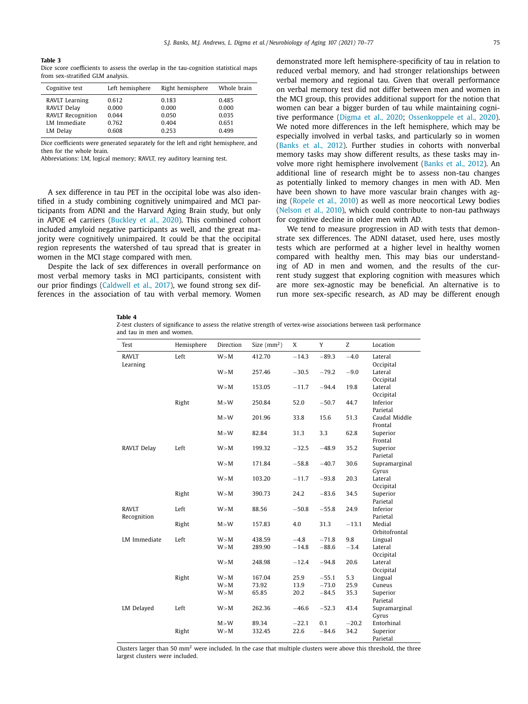#### <span id="page-5-0"></span>**Table 3** Dice score coefficients to assess the overlap in the tau-cognition statistical maps from sex-stratified GLM analysis.

| Cognitive test      | Left hemisphere | Right hemisphere | Whole brain |
|---------------------|-----------------|------------------|-------------|
| RAVLT Learning      | 0.612           | 0.183            | 0.485       |
| RAVLT Delay         | 0.000           | 0.000            | 0.000       |
| RAVLT Recognition   | 0.044           | 0.050            | 0.035       |
| <b>LM</b> Immediate | 0.762           | 0.404            | 0.651       |
| LM Delay            | 0.608           | 0.253            | 0.499       |

Dice coefficients were generated separately for the left and right hemisphere, and then for the whole brain.

Abbreviations: LM, logical memory; RAVLT, rey auditory learning test.

A sex difference in tau PET in the occipital lobe was also identified in a study combining cognitively unimpaired and MCI participants from ADNI and the Harvard Aging Brain study, but only in APOE e4 carriers [\(Buckley](#page-6-0) et al., 2020). This combined cohort included amyloid negative participants as well, and the great majority were cognitively unimpaired. It could be that the occipital region represents the watershed of tau spread that is greater in women in the MCI stage compared with men.

Despite the lack of sex differences in overall performance on most verbal memory tasks in MCI participants, consistent with our prior findings [\(Caldwell](#page-6-0) et al., 2017), we found strong sex differences in the association of tau with verbal memory. Women demonstrated more left hemisphere-specificity of tau in relation to reduced verbal memory, and had stronger relationships between verbal memory and regional tau. Given that overall performance on verbal memory test did not differ between men and women in the MCI group, this provides additional support for the notion that women can bear a bigger burden of tau while maintaining cognitive performance [\(Digma](#page-6-0) et al., 2020; [Ossenkoppele](#page-7-0) et al., 2020). We noted more differences in the left hemisphere, which may be especially involved in verbal tasks, and particularly so in women [\(Banks](#page-6-0) et al., 2012). Further studies in cohorts with nonverbal memory tasks may show different results, as these tasks may involve more right hemisphere involvement [\(Banks](#page-6-0) et al., 2012). An additional line of research might be to assess non-tau changes as potentially linked to memory changes in men with AD. Men have been shown to have more vascular brain changes with aging [\(Ropele](#page-7-0) et al., 2010) as well as more neocortical Lewy bodies [\(Nelson](#page-7-0) et al., 2010), which could contribute to non-tau pathways for cognitive decline in older men with AD.

We tend to measure progression in AD with tests that demonstrate sex differences. The ADNI dataset, used here, uses mostly tests which are performed at a higher level in healthy women compared with healthy men. This may bias our understanding of AD in men and women, and the results of the current study suggest that exploring cognition with measures which are more sex-agnostic may be beneficial. An alternative is to run more sex-specific research, as AD may be different enough

#### **Table 4**

Z-test clusters of significance to assess the relative strength of vertex-wise associations between task performance and tau in men and women.

| Test                     | Hemisphere | Direction | Size $(mm2)$ | X       | Y       | Z       | Location                  |
|--------------------------|------------|-----------|--------------|---------|---------|---------|---------------------------|
| <b>RAVLT</b><br>Learning | Left       | W > M     | 412.70       | $-14.3$ | $-89.3$ | $-4.0$  | Lateral                   |
|                          |            | W > M     | 257.46       | $-30.5$ | $-79.2$ | $-9.0$  | Occipital<br>Lateral      |
|                          |            |           |              |         |         |         | Occipital                 |
|                          |            | W > M     | 153.05       | $-11.7$ | $-94.4$ | 19.8    | Lateral                   |
|                          |            |           |              |         |         |         | Occipital                 |
|                          | Right      | M > W     | 250.84       | 52.0    | $-50.7$ | 44.7    | Inferior                  |
|                          |            | M > W     | 201.96       | 33.8    | 15.6    | 51.3    | Parietal<br>Caudal Middle |
|                          |            |           |              |         |         |         | Frontal                   |
|                          |            | M > W     | 82.84        | 31.3    | 3.3     | 62.8    | Superior                  |
|                          |            |           |              |         |         |         | Frontal                   |
| RAVLT Delay              | Left       | W > M     | 199.32       | $-32.5$ | $-48.9$ | 35.2    | Superior                  |
|                          |            |           |              |         |         |         | Parietal                  |
|                          |            | W > M     | 171.84       | $-58.8$ | $-40.7$ | 30.6    | Supramarginal             |
|                          |            |           |              |         |         |         | Gyrus                     |
|                          |            | W > M     | 103.20       | $-11.7$ | $-93.8$ | 20.3    | Lateral                   |
|                          |            |           |              |         |         |         | Occipital                 |
|                          | Right      | W > M     | 390.73       | 24.2    | $-83.6$ | 34.5    | Superior<br>Parietal      |
| <b>RAVLT</b>             | Left       | W > M     | 88.56        | $-50.8$ | $-55.8$ | 24.9    | Inferior                  |
| Recognition              |            |           |              |         |         |         | Parietal                  |
|                          | Right      | M > W     | 157.83       | 4.0     | 31.3    | $-13.1$ | Medial                    |
|                          |            |           |              |         |         |         | Orbitofrontal             |
| LM Immediate             | Left       | W > M     | 438.59       | $-4.8$  | $-71.8$ | 9.8     | Lingual                   |
|                          |            | W > M     | 289.90       | $-14.8$ | $-88.6$ | $-3.4$  | Lateral                   |
|                          |            |           |              |         |         |         | Occipital                 |
|                          |            | W > M     | 248.98       | $-12.4$ | $-94.8$ | 20.6    | Lateral                   |
|                          |            |           |              |         |         |         | Occipital                 |
|                          | Right      | W > M     | 167.04       | 25.9    | $-55.1$ | 5.3     | Lingual                   |
|                          |            | W > M     | 73.92        | 13.9    | $-73.0$ | 25.9    | Cuneus                    |
|                          |            | W > M     | 65.85        | 20.2    | $-84.5$ | 35.3    | Superior<br>Parietal      |
| LM Delayed               | Left       | W > M     | 262.36       | $-46.6$ | $-52.3$ | 43.4    | Supramarginal             |
|                          |            |           |              |         |         |         | Gyrus                     |
|                          |            | M > W     | 89.34        | $-22.1$ | 0.1     | $-20.2$ | Entorhinal                |
|                          | Right      | W > M     | 332.45       | 22.6    | $-84.6$ | 34.2    | Superior                  |
|                          |            |           |              |         |         |         | Parietal                  |

Clusters larger than 50  $mm<sup>2</sup>$  were included. In the case that multiple clusters were above this threshold, the three largest clusters were included.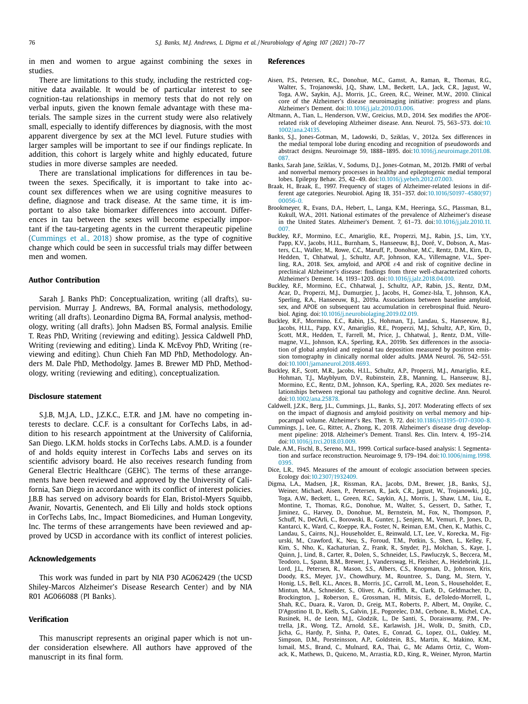<span id="page-6-0"></span>in men and women to argue against combining the sexes in studies.

There are limitations to this study, including the restricted cognitive data available. It would be of particular interest to see cognition-tau relationships in memory tests that do not rely on verbal inputs, given the known female advantage with these materials. The sample sizes in the current study were also relatively small, especially to identify differences by diagnosis, with the most apparent divergence by sex at the MCI level. Future studies with larger samples will be important to see if our findings replicate. In addition, this cohort is largely white and highly educated, future studies in more diverse samples are needed.

There are translational implications for differences in tau between the sexes. Specifically, it is important to take into account sex differences when we are using cognitive measures to define, diagnose and track disease. At the same time, it is important to also take biomarker differences into account. Differences in tau between the sexes will become especially important if the tau-targeting agents in the current therapeutic pipeline (Cummings et al., 2018) show promise, as the type of cognitive change which could be seen in successful trials may differ between men and women.

# **Author Contribution**

Sarah J. Banks PhD: Conceptualization, writing (all drafts), supervision. Murray J. Andrews, BA, Formal analysis, methodology, writing (all drafts). Leonardino Digma BA, Formal analysis, methodology, writing (all drafts). John Madsen BS, Formal analysis. Emilie T. Reas PhD, Writing (reviewing and editing). Jessica Caldwell PhD, Writing (reviewing and editing). Linda K. McEvoy PhD, Writing (reviewing and editing). Chun Chieh Fan MD PhD, Methodology. Anders M. Dale PhD, Methodolgy. James B. Brewer MD PhD, Methodology, writing (reviewing and editing), conceptualization.

#### **Disclosure statement**

S.J.B, M.J.A, L.D., J.Z.K.C., E.T.R. and J.M. have no competing interests to declare. C.C.F. is a consultant for CorTechs Labs, in addition to his research appointment at the University of California, San Diego. L.K.M. holds stocks in CorTechs Labs. A.M.D. is a founder of and holds equity interest in CorTechs Labs and serves on its scientific advisory board. He also receives research funding from General Electric Healthcare (GEHC). The terms of these arrangements have been reviewed and approved by the University of California, San Diego in accordance with its conflict of interest policies. J.B.B has served on advisory boards for Elan, Bristol-Myers Squibb, Avanir, Novartis, Genentech, and Eli Lilly and holds stock options in CorTechs Labs, Inc., Impact Biomedicines, and Human Longevity, Inc. The terms of these arrangements have been reviewed and approved by UCSD in accordance with its conflict of interest policies.

#### **Acknowledgements**

This work was funded in part by NIA P30 AG062429 (the UCSD Shiley-Marcos Alzheimer's Disease Research Center) and by NIA R01 AG066088 (PI Banks).

#### **Verification**

This manuscript represents an original paper which is not under consideration elsewhere. All authors have approved of the manuscript in its final form.

#### **References**

- Aisen, P.S., Petersen, R.C., Donohue, M.C., Gamst, A., Raman, R., Thomas, R.G., Walter, S., Trojanowski, J.Q., Shaw, L.M., Beckett, L.A., Jack, C.R., Jagust, W., Toga, A.W., Saykin, A.J., Morris, J.C., Green, R.C., Weiner, M.W., 2010. Clinical core of the Alzheimer's disease neuroimaging initiative: progress and plans. Alzheimer's Dement. doi[:10.1016/j.jalz.2010.03.006.](https://doi.org/10.1016/j.jalz.2010.03.006)
- Altmann, A., Tian, L., Henderson, V.W., Greicius, M.D., 2014. Sex modifies the APOErelated risk of developing Alzheimer disease. Ann. Neurol. 75, 563–573. doi:10. [1002/ana.24135.](https://doi.org/10.1002/ana.24135)
- Banks, S.J., Jones-Gotman, M., Ladowski, D., Sziklas, V., 2012a. Sex differences in the medial temporal lobe during encoding and recognition of pseudowords and abstract designs. Neuroimage 59, 1888–1895. [doi:10.1016/j.neuroimage.2011.08.](https://doi.org/10.1016/j.neuroimage.2011.08.087) 087.
- Banks, Sarah Jane, Sziklas, V., Sodums, D.J., Jones-Gotman, M., 2012b. FMRI of verbal and nonverbal memory processes in healthy and epileptogenic medial temporal lobes. Epilepsy Behav. 25, 42–49. doi[:10.1016/j.yebeh.2012.07.003.](https://doi.org/10.1016/j.yebeh.2012.07.003)
- Braak, H., Braak, E., 1997. Frequency of stages of Alzheimer-related lesions in different age categories. Neurobiol. Aging 18, 351–357. [doi:10.1016/S0197-4580\(97\)](https://doi.org/10.1016/S0197-4580(97)00056-0) 00056-0.
- Brookmeyer, R., Evans, D.A., Hebert, L., Langa, K.M., Heeringa, S.G., Plassman, B.L., Kukull, W.A., 2011. National estimates of the prevalence of Alzheimer's disease in the United States. Alzheimer's Dement. 7, 61–73. [doi:10.1016/j.jalz.2010.11.](https://doi.org/10.1016/j.jalz.2010.11.007) 007.
- Buckley, R.F., Mormino, E.C., Amariglio, R.E., Properzi, M.J., Rabin, J.S., Lim, Y.Y., Papp, K.V., Jacobs, H.I.L., Burnham, S., Hanseeuw, B.J., Doré, V., Dobson, A., Masters, C.L., Waller, M., Rowe, C.C., Maruff, P., Donohue, M.C., Rentz, D.M., Kirn, D., Hedden, T., Chhatwal, J., Schultz, A.P., Johnson, K.A., Villemagne, V.L., Sperling, R.A., 2018. Sex, amyloid, and APOE ε4 and risk of cognitive decline in preclinical Alzheimer's disease: findings from three well-characterized cohorts. Alzheimer's Dement. 14, 1193–1203. doi[:10.1016/j.jalz.2018.04.010.](https://doi.org/10.1016/j.jalz.2018.04.010)
- Buckley, R.F., Mormino, E.C., Chhatwal, J., Schultz, A.P., Rabin, J.S., Rentz, D.M., Acar, D., Properzi, M.J., Dumurgier, J., Jacobs, H., Gomez-Isla, T., Johnson, K.A., Sperling, R.A., Hanseeuw, B.J., 2019a. Associations between baseline amyloid, sex, and APOE on subsequent tau accumulation in cerebrospinal fluid. Neurobiol. Aging. doi[:10.1016/j.neurobiolaging.2019.02.019.](https://doi.org/10.1016/j.neurobiolaging.2019.02.019)
- Buckley, R.F., Mormino, E.C., Rabin, J.S., Hohman, T.J., Landau, S., Hanseeuw, B.J., Jacobs, H.I.L., Papp, K.V., Amariglio, R.E., Properzi, M.J., Schultz, A.P., Kirn, D., Scott, M.R., Hedden, T., Farrell, M., Price, J., Chhatwal, J., Rentz, D.M., Villemagne, V.L., Johnson, K.A., Sperling, R.A., 2019b. Sex differences in the association of global amyloid and regional tau deposition measured by positron emission tomography in clinically normal older adults. JAMA Neurol. 76, 542–551. doi[:10.1001/jamaneurol.2018.4693.](https://doi.org/10.1001/jamaneurol.2018.4693)
- Buckley, R.F., Scott, M.R., Jacobs, H.I.L., Schultz, A.P., Properzi, M.J., Amariglio, R.E., Hohman, T.J., Mayblyum, D.V., Rubinstein, Z.B., Manning, L., Hanseeuw, B.J., Mormino, E.C., Rentz, D.M., Johnson, K.A., Sperling, R.A., 2020. Sex mediates relationships between regional tau pathology and cognitive decline. Ann. Neurol. doi[:10.1002/ana.25878.](https://doi.org/10.1002/ana.25878)
- Caldwell, J.Z.K., Berg, J.L., Cummings, J.L., Banks, S.J., 2017. Moderating effects of sex on the impact of diagnosis and amyloid positivity on verbal memory and hippocampal volume. Alzheimer's Res. Ther. 9, 72. doi[:10.1186/s13195-017-0300-8.](https://doi.org/10.1186/s13195-017-0300-8)
- Cummings, J., Lee, G., Ritter, A., Zhong, K., 2018. Alzheimer's disease drug development pipeline: 2018. Alzheimer's Dement. Transl. Res. Clin. Interv. 4, 195–214. doi[:10.1016/j.trci.2018.03.009.](https://doi.org/10.1016/j.trci.2018.03.009)
- Dale, A.M., Fischl, B., Sereno, M.I., 1999. Cortical surface-based analysis: I. Segmentation and surface reconstruction. Neuroimage 9, 179–194. [doi:10.1006/nimg.1998.](https://doi.org/10.1006/nimg.1998.0395) 0395.
- Dice, L.R., 1945. Measures of the amount of ecologic association between species. Ecology doi[:10.2307/1932409.](https://doi.org/10.2307/1932409)
- Digma, L.A., Madsen, J.R., Rissman, R.A., Jacobs, D.M., Brewer, J.B., Banks, S.J., Weiner, Michael, Aisen, P., Petersen, R., Jack, C.R., Jagust, W., Trojanowki, J.Q., Toga, A.W., Beckett, L., Green, R.C., Saykin, A.J., Morris, J., Shaw, L.M., Liu, E., Montine, T., Thomas, R.G., Donohue, M., Walter, S., Gessert, D., Sather, T., Jiminez, G., Harvey, D., Donohue, M., Bernstein, M., Fox, N., Thompson, P., Schuff, N., DeCArli, C., Borowski, B., Gunter, J., Senjem, M., Vemuri, P., Jones, D., Kantarci, K., Ward, C., Koeppe, R.A., Foster, N., Reiman, E.M., Chen, K., Mathis, C., Landau, S., Cairns, N.J., Householder, E., Reinwald, L.T., Lee, V., Korecka, M., Figurski, M., Crawford, K., Neu, S., Foroud, T.M., Potkin, S., Shen, L., Kelley, F., Kim, S., Nho, K., Kachaturian, Z., Frank, R., Snyder, P.J., Molchan, S., Kaye, J., Quinn, J., Lind, B., Carter, R., Dolen, S., Schneider, L.S., Pawluczyk, S., Beccera, M., Teodoro, L., Spann, B.M., Brewer, J., Vanderswag, H., Fleisher, A., Heidebrink, J.L., Lord, J.L., Petersen, R., Mason, S.S., Albers, C.S., Knopman, D., Johnson, Kris, Doody, R.S., Meyer, J.V., Chowdhury, M., Rountree, S., Dang, M., Stern, Y., Honig, L.S., Bell, K.L., Ances, B., Morris, J.C., Carroll, M., Leon, S., Householder, E., Mintun, M.A., Schneider, S., Oliver, A., Griffith, R., Clark, D., Geldmacher, D., Brockington, J., Roberson, E., Grossman, H., Mitsis, E., deToledo-Morrell, L., Shah, R.C., Duara, R., Varon, D., Greig, M.T., Roberts, P., Albert, M., Onyike, C., D'Agostino II, D., Kielb, S.,, Galvin, J.E., Pogorelec, D.M., Cerbone, B., Michel, C.A., Rusinek, H., de Leon, M.J., Glodzik, L., De Santi, S., Doraiswamy, P.M., Petrella, J.R., Wong, T.Z., Arnold, S.E., Karlawish, J.H., Wolk, D., Smith, C.D., Jicha, G., Hardy, P., Sinha, P., Oates, E., Conrad, G., Lopez, O.L., Oakley, M., Simpson, D.M., Porsteinsson, A.P., Goldstein, B.S., Martin, K., Makino, K.M., Ismail, M.S., Brand, C., Mulnard, R.A., Thai, G., Mc Adams Ortiz, C., Womack, K., Mathews, D., Quiceno, M., Arrastia, R.D., King, R., Weiner, Myron, Martin